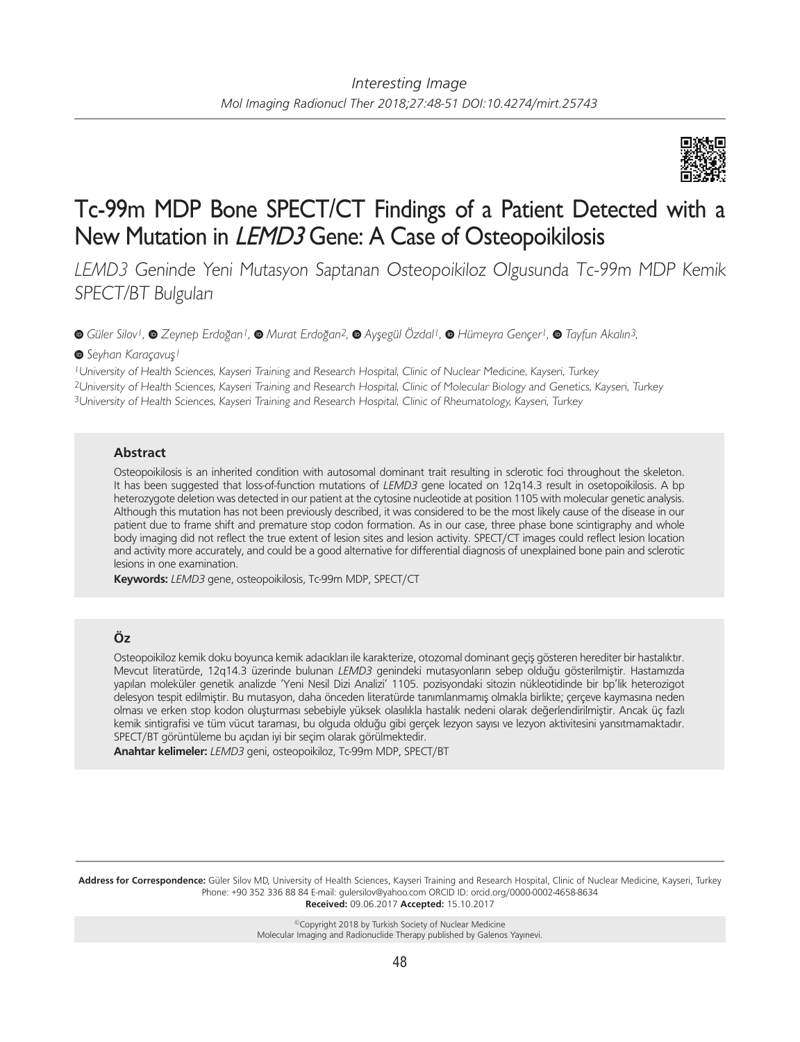

# Tc-99m MDP Bone SPECT/CT Findings of a Patient Detected with a New Mutation in LEMD3 Gene: A Case of Osteopoikilosis

*LEMD3* Geninde Yeni Mutasyon Saptanan Osteopoikiloz Olgusunda Tc-99m MDP Kemik SPECT/BT Bulguları

*Güler Silov1,Zeynep Erdoğan1,Murat Erdoğan2,Ayşegül Özdal1,Hümeyra Gençer1,Tayfun Akalın3,*

## *Seyhan Karaçavuş1*

<sup>1</sup>University of Health Sciences, Kayseri Training and Research Hospital, Clinic of Nuclear Medicine, Kayseri, Turkey <sup>2</sup>University of Health Sciences, Kayseri Training and Research Hospital, Clinic of Molecular Biology and Genetics, Kayseri, Turkey <sup>3</sup>University of Health Sciences, Kayseri Training and Research Hospital, Clinic of Rheumatology, Kayseri, Turkey

## **Abstract**

Osteopoikilosis is an inherited condition with autosomal dominant trait resulting in sclerotic foci throughout the skeleton. It has been suggested that loss-of-function mutations of *LEMD3* gene located on 12q14.3 result in osetopoikilosis. A bp heterozygote deletion was detected in our patient at the cytosine nucleotide at position 1105 with molecular genetic analysis. Although this mutation has not been previously described, it was considered to be the most likely cause of the disease in our patient due to frame shift and premature stop codon formation. As in our case, three phase bone scintigraphy and whole body imaging did not reflect the true extent of lesion sites and lesion activity. SPECT/CT images could reflect lesion location and activity more accurately, and could be a good alternative for differential diagnosis of unexplained bone pain and sclerotic lesions in one examination.

**Keywords:** *LEMD3* gene, osteopoikilosis, Tc-99m MDP, SPECT/CT

# **Öz**

Osteopoikiloz kemik doku boyunca kemik adacıkları ile karakterize, otozomal dominant geçiş gösteren herediter bir hastalıktır. Mevcut literatürde, 12q14.3 üzerinde bulunan *LEMD3* genindeki mutasyonların sebep olduğu gösterilmiştir. Hastamızda yapılan moleküler genetik analizde 'Yeni Nesil Dizi Analizi' 1105. pozisyondaki sitozin nükleotidinde bir bp'lik heterozigot delesyon tespit edilmiştir. Bu mutasyon, daha önceden literatürde tanımlanmamış olmakla birlikte; çerçeve kaymasına neden olması ve erken stop kodon oluşturması sebebiyle yüksek olasılıkla hastalık nedeni olarak değerlendirilmiştir. Ancak üç fazlı kemik sintigrafisi ve tüm vücut taraması, bu olguda olduğu gibi gerçek lezyon sayısı ve lezyon aktivitesini yansıtmamaktadır. SPECT/BT görüntüleme bu açıdan iyi bir seçim olarak görülmektedir.

**Anahtar kelimeler:** *LEMD3* geni, osteopoikiloz, Tc-99m MDP, SPECT/BT

**Address for Correspondence:** Güler Silov MD, University of Health Sciences, Kayseri Training and Research Hospital, Clinic of Nuclear Medicine, Kayseri, Turkey Phone: +90 352 336 88 84 E-mail: gulersilov@yahoo.com ORCID ID: orcid.org/0000-0002-4658-8634 **Received:** 09.06.2017 **Accepted:** 15.10.2017

> ©Copyright 2018 by Turkish Society of Nuclear Medicine Molecular Imaging and Radionuclide Therapy published by Galenos Yayınevi.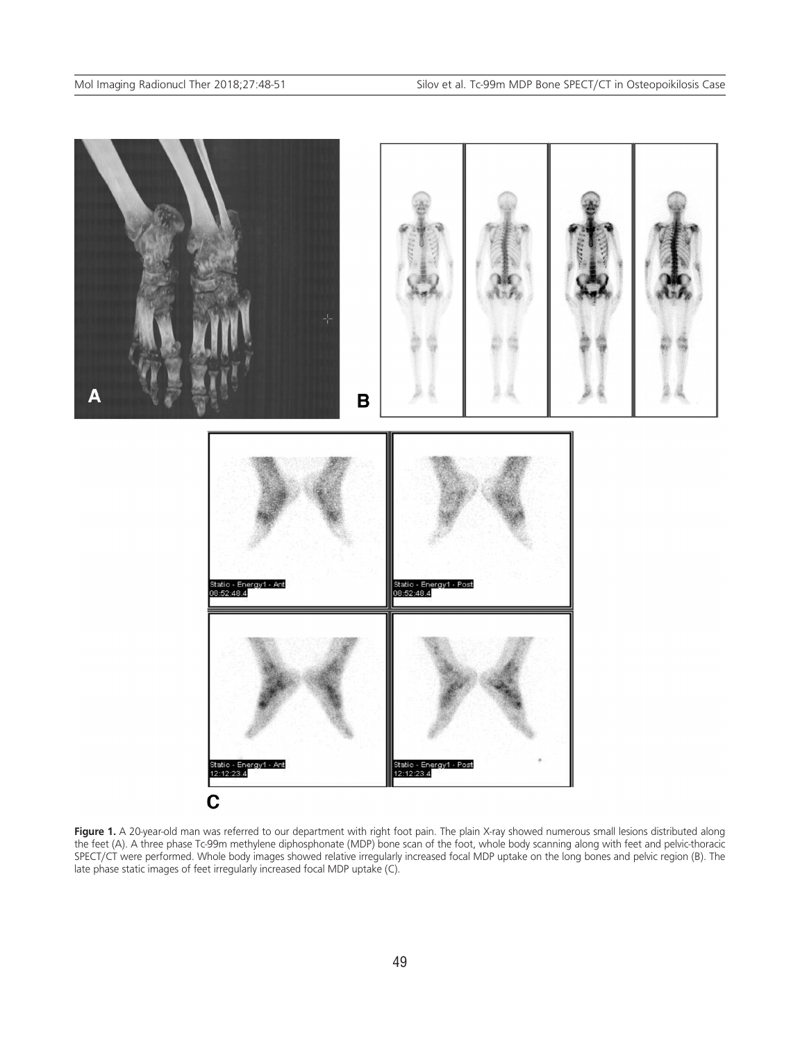

Figure 1. A 20-year-old man was referred to our department with right foot pain. The plain X-ray showed numerous small lesions distributed along the feet (A). A three phase Tc-99m methylene diphosphonate (MDP) bone scan of the foot, whole body scanning along with feet and pelvic-thoracic SPECT/CT were performed. Whole body images showed relative irregularly increased focal MDP uptake on the long bones and pelvic region (B). The late phase static images of feet irregularly increased focal MDP uptake (C).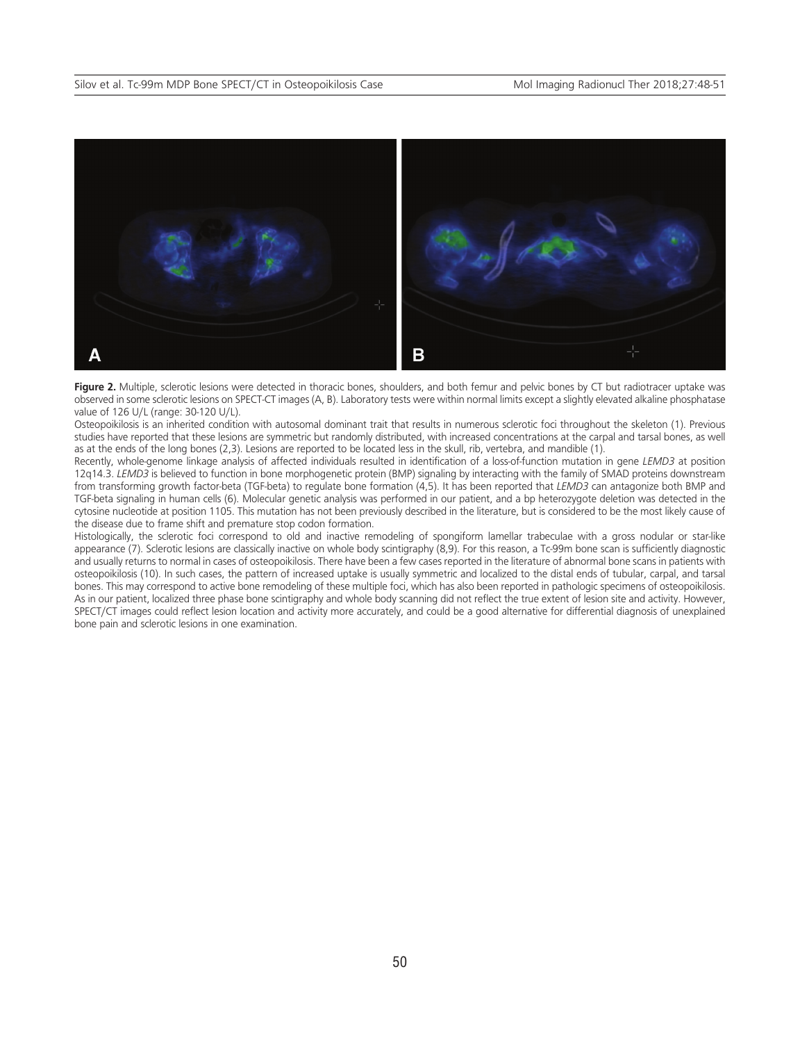

Figure 2. Multiple, sclerotic lesions were detected in thoracic bones, shoulders, and both femur and pelvic bones by CT but radiotracer uptake was observed in some sclerotic lesions on SPECT-CT images (A, B). Laboratory tests were within normal limits except a slightly elevated alkaline phosphatase value of 126 U/L (range: 30-120 U/L).

Osteopoikilosis is an inherited condition with autosomal dominant trait that results in numerous sclerotic foci throughout the skeleton (1). Previous studies have reported that these lesions are symmetric but randomly distributed, with increased concentrations at the carpal and tarsal bones, as well as at the ends of the long bones (2,3). Lesions are reported to be located less in the skull, rib, vertebra, and mandible (1).

Recently, whole-genome linkage analysis of affected individuals resulted in identification of a loss-of-function mutation in gene *LEMD3* at position 12q14.3. *LEMD3* is believed to function in bone morphogenetic protein (BMP) signaling by interacting with the family of SMAD proteins downstream from transforming growth factor-beta (TGF-beta) to regulate bone formation (4,5). It has been reported that *LEMD3* can antagonize both BMP and TGF-beta signaling in human cells (6). Molecular genetic analysis was performed in our patient, and a bp heterozygote deletion was detected in the cytosine nucleotide at position 1105. This mutation has not been previously described in the literature, but is considered to be the most likely cause of the disease due to frame shift and premature stop codon formation.

Histologically, the sclerotic foci correspond to old and inactive remodeling of spongiform lamellar trabeculae with a gross nodular or star-like appearance (7). Sclerotic lesions are classically inactive on whole body scintigraphy (8,9). For this reason, a Tc-99m bone scan is sufficiently diagnostic and usually returns to normal in cases of osteopoikilosis. There have been a few cases reported in the literature of abnormal bone scans in patients with osteopoikilosis (10). In such cases, the pattern of increased uptake is usually symmetric and localized to the distal ends of tubular, carpal, and tarsal bones. This may correspond to active bone remodeling of these multiple foci, which has also been reported in pathologic specimens of osteopoikilosis. As in our patient, localized three phase bone scintigraphy and whole body scanning did not reflect the true extent of lesion site and activity. However, SPECT/CT images could reflect lesion location and activity more accurately, and could be a good alternative for differential diagnosis of unexplained bone pain and sclerotic lesions in one examination.